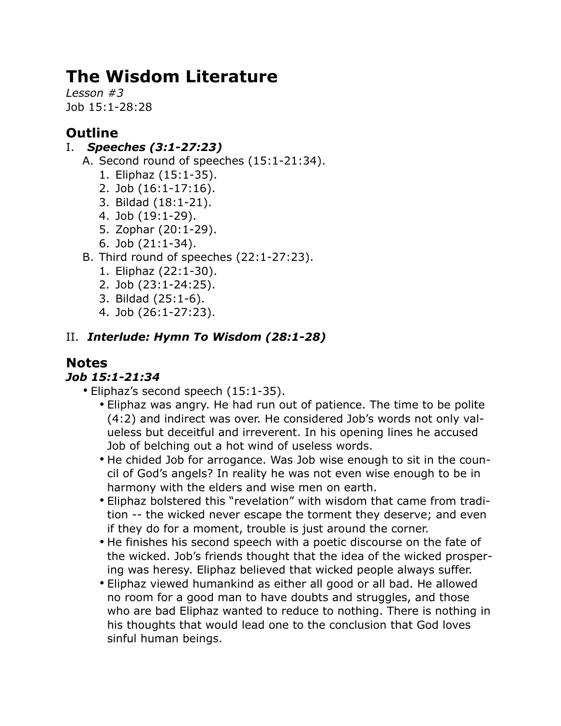# **The Wisdom Literature**

*Lesson #3* Job 15:1-28:28

# **Outline**

### I. *Speeches (3:1-27:23)*

- A. Second round of speeches (15:1-21:34).
	- 1. Eliphaz (15:1-35).
	- 2. Job (16:1-17:16).
	- 3. Bildad (18:1-21).
	- 4. Job (19:1-29).
	- 5. Zophar (20:1-29).
	- 6. Job (21:1-34).
- B. Third round of speeches (22:1-27:23).
	- 1. Eliphaz (22:1-30).
	- 2. Job (23:1-24:25).
	- 3. Bildad (25:1-6).
	- 4. Job (26:1-27:23).

### II. *Interlude: Hymn To Wisdom (28:1-28)*

# **Notes**

### *Job 15:1-21:34*

- Eliphaz's second speech (15:1-35).
	- Eliphaz was angry. He had run out of patience. The time to be polite (4:2) and indirect was over. He considered Job's words not only valueless but deceitful and irreverent. In his opening lines he accused Job of belching out a hot wind of useless words.
	- He chided Job for arrogance. Was Job wise enough to sit in the council of God's angels? In reality he was not even wise enough to be in harmony with the elders and wise men on earth.
	- Eliphaz bolstered this "revelation" with wisdom that came from tradition -- the wicked never escape the torment they deserve; and even if they do for a moment, trouble is just around the corner.
	- He finishes his second speech with a poetic discourse on the fate of the wicked. Job's friends thought that the idea of the wicked prospering was heresy. Eliphaz believed that wicked people always suffer.
	- Eliphaz viewed humankind as either all good or all bad. He allowed no room for a good man to have doubts and struggles, and those who are bad Eliphaz wanted to reduce to nothing. There is nothing in his thoughts that would lead one to the conclusion that God loves sinful human beings.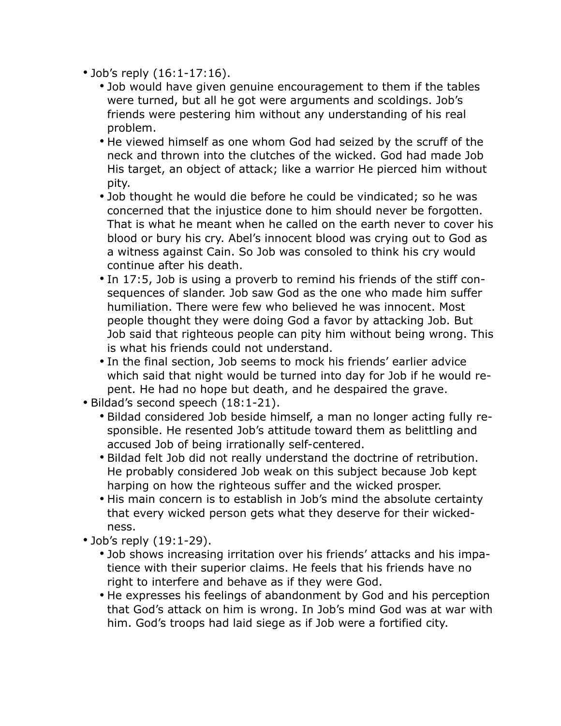- Job's reply (16:1-17:16).
	- Job would have given genuine encouragement to them if the tables were turned, but all he got were arguments and scoldings. Job's friends were pestering him without any understanding of his real problem.
	- He viewed himself as one whom God had seized by the scruff of the neck and thrown into the clutches of the wicked. God had made Job His target, an object of attack; like a warrior He pierced him without pity.
	- Job thought he would die before he could be vindicated; so he was concerned that the injustice done to him should never be forgotten. That is what he meant when he called on the earth never to cover his blood or bury his cry. Abel's innocent blood was crying out to God as a witness against Cain. So Job was consoled to think his cry would continue after his death.
	- In 17:5, Job is using a proverb to remind his friends of the stiff consequences of slander. Job saw God as the one who made him suffer humiliation. There were few who believed he was innocent. Most people thought they were doing God a favor by attacking Job. But Job said that righteous people can pity him without being wrong. This is what his friends could not understand.
	- In the final section, Job seems to mock his friends' earlier advice which said that night would be turned into day for Job if he would repent. He had no hope but death, and he despaired the grave.
- Bildad's second speech (18:1-21).
	- Bildad considered Job beside himself, a man no longer acting fully responsible. He resented Job's attitude toward them as belittling and accused Job of being irrationally self-centered.
	- Bildad felt Job did not really understand the doctrine of retribution. He probably considered Job weak on this subject because Job kept harping on how the righteous suffer and the wicked prosper.
	- His main concern is to establish in Job's mind the absolute certainty that every wicked person gets what they deserve for their wickedness.
- Job's reply (19:1-29).
	- Job shows increasing irritation over his friends' attacks and his impatience with their superior claims. He feels that his friends have no right to interfere and behave as if they were God.
	- He expresses his feelings of abandonment by God and his perception that God's attack on him is wrong. In Job's mind God was at war with him. God's troops had laid siege as if Job were a fortified city.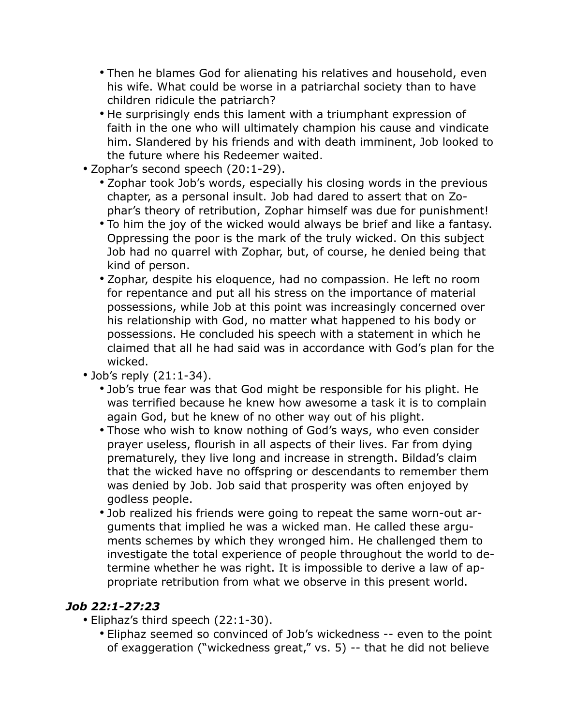- Then he blames God for alienating his relatives and household, even his wife. What could be worse in a patriarchal society than to have children ridicule the patriarch?
- He surprisingly ends this lament with a triumphant expression of faith in the one who will ultimately champion his cause and vindicate him. Slandered by his friends and with death imminent, Job looked to the future where his Redeemer waited.
- Zophar's second speech (20:1-29).
	- Zophar took Job's words, especially his closing words in the previous chapter, as a personal insult. Job had dared to assert that on Zophar's theory of retribution, Zophar himself was due for punishment!
	- To him the joy of the wicked would always be brief and like a fantasy. Oppressing the poor is the mark of the truly wicked. On this subject Job had no quarrel with Zophar, but, of course, he denied being that kind of person.
	- Zophar, despite his eloquence, had no compassion. He left no room for repentance and put all his stress on the importance of material possessions, while Job at this point was increasingly concerned over his relationship with God, no matter what happened to his body or possessions. He concluded his speech with a statement in which he claimed that all he had said was in accordance with God's plan for the wicked.
- Job's reply (21:1-34).
	- Job's true fear was that God might be responsible for his plight. He was terrified because he knew how awesome a task it is to complain again God, but he knew of no other way out of his plight.
	- Those who wish to know nothing of God's ways, who even consider prayer useless, flourish in all aspects of their lives. Far from dying prematurely, they live long and increase in strength. Bildad's claim that the wicked have no offspring or descendants to remember them was denied by Job. Job said that prosperity was often enjoyed by godless people.
	- Job realized his friends were going to repeat the same worn-out arguments that implied he was a wicked man. He called these arguments schemes by which they wronged him. He challenged them to investigate the total experience of people throughout the world to determine whether he was right. It is impossible to derive a law of appropriate retribution from what we observe in this present world.

#### *Job 22:1-27:23*

- Eliphaz's third speech (22:1-30).
	- Eliphaz seemed so convinced of Job's wickedness -- even to the point of exaggeration ("wickedness great," vs. 5) -- that he did not believe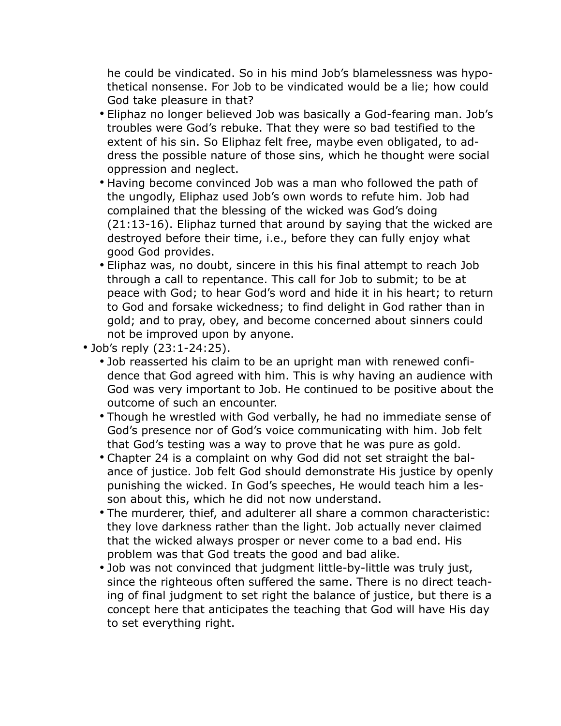he could be vindicated. So in his mind Job's blamelessness was hypothetical nonsense. For Job to be vindicated would be a lie; how could God take pleasure in that?

- Eliphaz no longer believed Job was basically a God-fearing man. Job's troubles were God's rebuke. That they were so bad testified to the extent of his sin. So Eliphaz felt free, maybe even obligated, to address the possible nature of those sins, which he thought were social oppression and neglect.
- Having become convinced Job was a man who followed the path of the ungodly, Eliphaz used Job's own words to refute him. Job had complained that the blessing of the wicked was God's doing (21:13-16). Eliphaz turned that around by saying that the wicked are destroyed before their time, i.e., before they can fully enjoy what good God provides.
- Eliphaz was, no doubt, sincere in this his final attempt to reach Job through a call to repentance. This call for Job to submit; to be at peace with God; to hear God's word and hide it in his heart; to return to God and forsake wickedness; to find delight in God rather than in gold; and to pray, obey, and become concerned about sinners could not be improved upon by anyone.
- Job's reply (23:1-24:25).
	- Job reasserted his claim to be an upright man with renewed confidence that God agreed with him. This is why having an audience with God was very important to Job. He continued to be positive about the outcome of such an encounter.
	- Though he wrestled with God verbally, he had no immediate sense of God's presence nor of God's voice communicating with him. Job felt that God's testing was a way to prove that he was pure as gold.
	- Chapter 24 is a complaint on why God did not set straight the balance of justice. Job felt God should demonstrate His justice by openly punishing the wicked. In God's speeches, He would teach him a lesson about this, which he did not now understand.
	- The murderer, thief, and adulterer all share a common characteristic: they love darkness rather than the light. Job actually never claimed that the wicked always prosper or never come to a bad end. His problem was that God treats the good and bad alike.
	- Job was not convinced that judgment little-by-little was truly just, since the righteous often suffered the same. There is no direct teaching of final judgment to set right the balance of justice, but there is a concept here that anticipates the teaching that God will have His day to set everything right.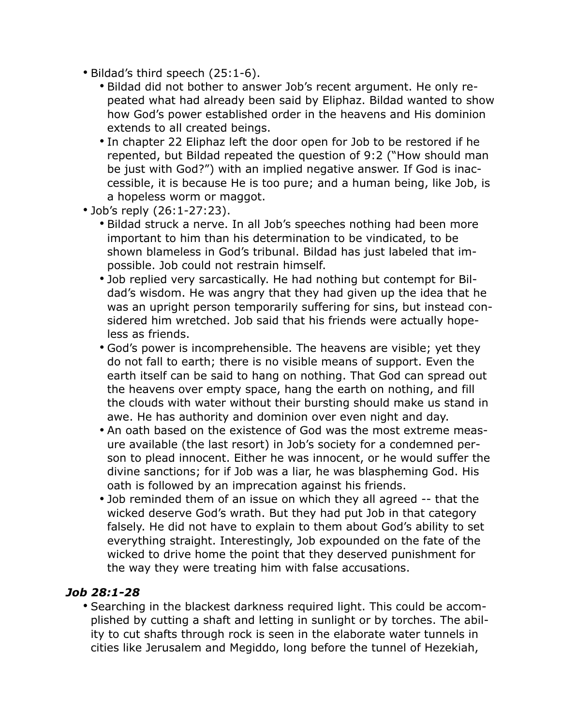- Bildad's third speech (25:1-6).
	- Bildad did not bother to answer Job's recent argument. He only repeated what had already been said by Eliphaz. Bildad wanted to show how God's power established order in the heavens and His dominion extends to all created beings.
	- In chapter 22 Eliphaz left the door open for Job to be restored if he repented, but Bildad repeated the question of 9:2 ("How should man be just with God?") with an implied negative answer. If God is inaccessible, it is because He is too pure; and a human being, like Job, is a hopeless worm or maggot.
- Job's reply (26:1-27:23).
	- Bildad struck a nerve. In all Job's speeches nothing had been more important to him than his determination to be vindicated, to be shown blameless in God's tribunal. Bildad has just labeled that impossible. Job could not restrain himself.
	- Job replied very sarcastically. He had nothing but contempt for Bildad's wisdom. He was angry that they had given up the idea that he was an upright person temporarily suffering for sins, but instead considered him wretched. Job said that his friends were actually hopeless as friends.
	- God's power is incomprehensible. The heavens are visible; yet they do not fall to earth; there is no visible means of support. Even the earth itself can be said to hang on nothing. That God can spread out the heavens over empty space, hang the earth on nothing, and fill the clouds with water without their bursting should make us stand in awe. He has authority and dominion over even night and day.
	- An oath based on the existence of God was the most extreme measure available (the last resort) in Job's society for a condemned person to plead innocent. Either he was innocent, or he would suffer the divine sanctions; for if Job was a liar, he was blaspheming God. His oath is followed by an imprecation against his friends.
	- Job reminded them of an issue on which they all agreed -- that the wicked deserve God's wrath. But they had put Job in that category falsely. He did not have to explain to them about God's ability to set everything straight. Interestingly, Job expounded on the fate of the wicked to drive home the point that they deserved punishment for the way they were treating him with false accusations.

#### *Job 28:1-28*

• Searching in the blackest darkness required light. This could be accomplished by cutting a shaft and letting in sunlight or by torches. The ability to cut shafts through rock is seen in the elaborate water tunnels in cities like Jerusalem and Megiddo, long before the tunnel of Hezekiah,